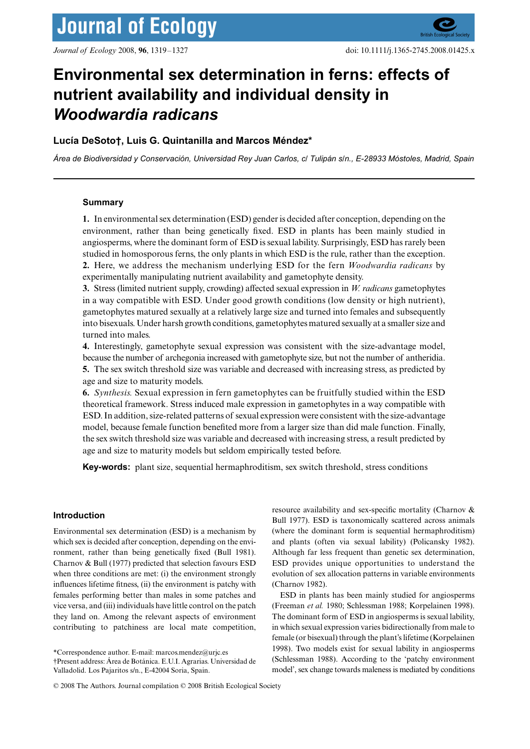# **Environmental sex determination in ferns: effects of nutrient availability and individual density in** *Woodwardia radicans*

# **Lucía DeSoto†, Luis G. Quintanilla and Marcos Méndez\***

*Área de Biodiversidad y Conservación, Universidad Rey Juan Carlos, c/ Tulipán s/n., E-28933 Móstoles, Madrid, Spain*

## **Summary**

**1.** In environmental sex determination (ESD) gender is decided after conception, depending on the environment, rather than being genetically fixed. ESD in plants has been mainly studied in angiosperms, where the dominant form of ESD is sexual lability. Surprisingly, ESD has rarely been studied in homosporous ferns, the only plants in which ESD is the rule, rather than the exception. **2.** Here, we address the mechanism underlying ESD for the fern *Woodwardia radicans* by experimentally manipulating nutrient availability and gametophyte density.

**3.** Stress (limited nutrient supply, crowding) affected sexual expression in *W. radicans* gametophytes in a way compatible with ESD. Under good growth conditions (low density or high nutrient), gametophytes matured sexually at a relatively large size and turned into females and subsequently into bisexuals. Under harsh growth conditions, gametophytes matured sexually at a smaller size and turned into males.

**4.** Interestingly, gametophyte sexual expression was consistent with the size-advantage model, because the number of archegonia increased with gametophyte size, but not the number of antheridia. **5.** The sex switch threshold size was variable and decreased with increasing stress, as predicted by

age and size to maturity models.

**6.** *Synthesis.* Sexual expression in fern gametophytes can be fruitfully studied within the ESD theoretical framework. Stress induced male expression in gametophytes in a way compatible with ESD. In addition, size-related patterns of sexual expression were consistent with the size-advantage model, because female function benefited more from a larger size than did male function. Finally, the sex switch threshold size was variable and decreased with increasing stress, a result predicted by age and size to maturity models but seldom empirically tested before.

**Key-words:** plant size, sequential hermaphroditism, sex switch threshold, stress conditions

## **Introduction**

Environmental sex determination (ESD) is a mechanism by which sex is decided after conception, depending on the environment, rather than being genetically fixed (Bull 1981). Charnov & Bull (1977) predicted that selection favours ESD when three conditions are met: (i) the environment strongly influences lifetime fitness, (ii) the environment is patchy with females performing better than males in some patches and vice versa, and (iii) individuals have little control on the patch they land on. Among the relevant aspects of environment contributing to patchiness are local mate competition,

Bull 1977). ESD is taxonomically scattered across animals (where the dominant form is sequential hermaphroditism) and plants (often via sexual lability) (Policansky 1982). Although far less frequent than genetic sex determination, ESD provides unique opportunities to understand the evolution of sex allocation patterns in variable environments (Charnov 1982).

resource availability and sex-specific mortality (Charnov &

ESD in plants has been mainly studied for angiosperms (Freeman *et al.* 1980; Schlessman 1988; Korpelainen 1998). The dominant form of ESD in angiosperms is sexual lability, in which sexual expression varies bidirectionally from male to female (or bisexual) through the plant's lifetime (Korpelainen 1998). Two models exist for sexual lability in angiosperms (Schlessman 1988). According to the 'patchy environment model', sex change towards maleness is mediated by conditions

<sup>\*</sup>Correspondence author. E-mail: marcos.mendez@urjc.es †Present address: Área de Botánica. E.U.I. Agrarias. Universidad de Valladolid. Los Pajaritos s/n., E-42004 Soria, Spain.

<sup>© 2008</sup> The Authors. Journal compilation © 2008 British Ecological Society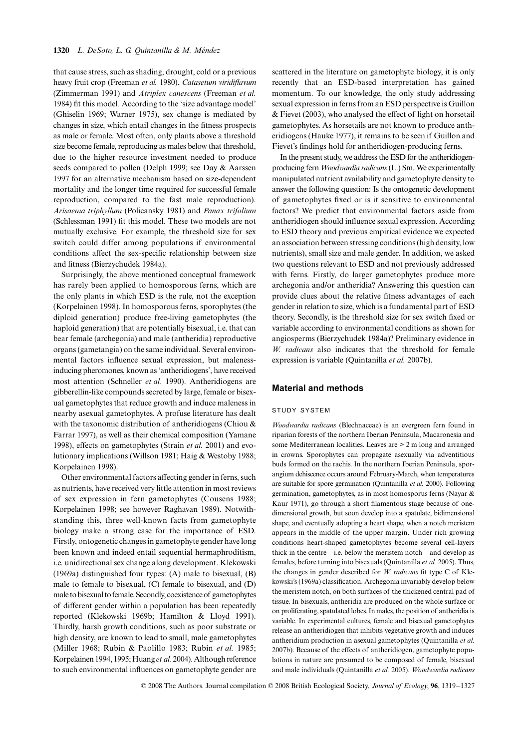that cause stress, such as shading, drought, cold or a previous heavy fruit crop (Freeman *et al.* 1980). *Catasetum viridiflavum* (Zimmerman 1991) and *Atriplex canescens* (Freeman *et al.* 1984) fit this model. According to the 'size advantage model' (Ghiselin 1969; Warner 1975), sex change is mediated by changes in size, which entail changes in the fitness prospects as male or female. Most often, only plants above a threshold size become female, reproducing as males below that threshold, due to the higher resource investment needed to produce seeds compared to pollen (Delph 1999; see Day & Aarssen 1997 for an alternative mechanism based on size-dependent mortality and the longer time required for successful female reproduction, compared to the fast male reproduction). *Arisaema triphyllum* (Policansky 1981) and *Panax trifolium* (Schlessman 1991) fit this model. These two models are not mutually exclusive. For example, the threshold size for sex switch could differ among populations if environmental conditions affect the sex-specific relationship between size and fitness (Bierzychudek 1984a).

Surprisingly, the above mentioned conceptual framework has rarely been applied to homosporous ferns, which are the only plants in which ESD is the rule, not the exception (Korpelainen 1998). In homosporous ferns, sporophytes (the diploid generation) produce free-living gametophytes (the haploid generation) that are potentially bisexual, i.e. that can bear female (archegonia) and male (antheridia) reproductive organs (gametangia) on the same individual. Several environmental factors influence sexual expression, but malenessinducing pheromones, known as 'antheridiogens', have received most attention (Schneller *et al.* 1990). Antheridiogens are gibberellin-like compounds secreted by large, female or bisexual gametophytes that reduce growth and induce maleness in nearby asexual gametophytes. A profuse literature has dealt with the taxonomic distribution of antheridiogens (Chiou & Farrar 1997), as well as their chemical composition (Yamane 1998), effects on gametophytes (Strain *et al.* 2001) and evolutionary implications (Willson 1981; Haig & Westoby 1988; Korpelainen 1998).

Other environmental factors affecting gender in ferns, such as nutrients, have received very little attention in most reviews of sex expression in fern gametophytes (Cousens 1988; Korpelainen 1998; see however Raghavan 1989). Notwithstanding this, three well-known facts from gametophyte biology make a strong case for the importance of ESD. Firstly, ontogenetic changes in gametophyte gender have long been known and indeed entail sequential hermaphroditism, i.e. unidirectional sex change along development. Klekowski (1969a) distinguished four types: (A) male to bisexual, (B) male to female to bisexual, (C) female to bisexual, and (D) male to bisexual to female. Secondly, coexistence of gametophytes of different gender within a population has been repeatedly reported (Klekowski 1969b; Hamilton & Lloyd 1991). Thirdly, harsh growth conditions, such as poor substrate or high density, are known to lead to small, male gametophytes (Miller 1968; Rubin & Paolillo 1983; Rubin *et al.* 1985; Korpelainen 1994, 1995; Huang *et al.* 2004). Although reference to such environmental influences on gametophyte gender are

scattered in the literature on gametophyte biology, it is only recently that an ESD-based interpretation has gained momentum. To our knowledge, the only study addressing sexual expression in ferns from an ESD perspective is Guillon & Fievet (2003), who analysed the effect of light on horsetail gametophytes. As horsetails are not known to produce antheridiogens (Hauke 1977), it remains to be seen if Guillon and Fievet's findings hold for antheridiogen-producing ferns.

In the present study, we address the ESD for the antheridiogenproducing fern *Woodwardia radicans* (L.) Sm. We experimentally manipulated nutrient availability and gametophyte density to answer the following question: Is the ontogenetic development of gametophytes fixed or is it sensitive to environmental factors? We predict that environmental factors aside from antheridiogen should influence sexual expression. According to ESD theory and previous empirical evidence we expected an association between stressing conditions (high density, low nutrients), small size and male gender. In addition, we asked two questions relevant to ESD and not previously addressed with ferns. Firstly, do larger gametophytes produce more archegonia and/or antheridia? Answering this question can provide clues about the relative fitness advantages of each gender in relation to size, which is a fundamental part of ESD theory. Secondly, is the threshold size for sex switch fixed or variable according to environmental conditions as shown for angiosperms (Bierzychudek 1984a)? Preliminary evidence in *W. radicans* also indicates that the threshold for female expression is variable (Quintanilla *et al.* 2007b).

## **Material and methods**

#### STUDY SYSTEM

*Woodwardia radicans* (Blechnaceae) is an evergreen fern found in riparian forests of the northern Iberian Peninsula, Macaronesia and some Mediterranean localities. Leaves are > 2 m long and arranged in crowns. Sporophytes can propagate asexually via adventitious buds formed on the rachis. In the northern Iberian Peninsula, sporangium dehiscence occurs around February-March, when temperatures are suitable for spore germination (Quintanilla *et al.* 2000). Following germination, gametophytes, as in most homosporus ferns (Nayar & Kaur 1971), go through a short filamentous stage because of onedimensional growth, but soon develop into a spatulate, bidimensional shape, and eventually adopting a heart shape, when a notch meristem appears in the middle of the upper margin. Under rich growing conditions heart-shaped gametophytes become several cell-layers thick in the centre – i.e. below the meristem notch – and develop as females, before turning into bisexuals (Quintanilla *et al.* 2005). Thus, the changes in gender described for *W. radicans* fit type C of Klekowski's (1969a) classification. Archegonia invariably develop below the meristem notch, on both surfaces of the thickened central pad of tissue. In bisexuals, antheridia are produced on the whole surface or on proliferating, spatulated lobes. In males, the position of antheridia is variable. In experimental cultures, female and bisexual gametophytes release an antheridiogen that inhibits vegetative growth and induces antheridium production in asexual gametophytes (Quintanilla *et al.* 2007b). Because of the effects of antheridiogen, gametophyte populations in nature are presumed to be composed of female, bisexual and male individuals (Quintanilla *et al.* 2005). *Woodwardia radicans*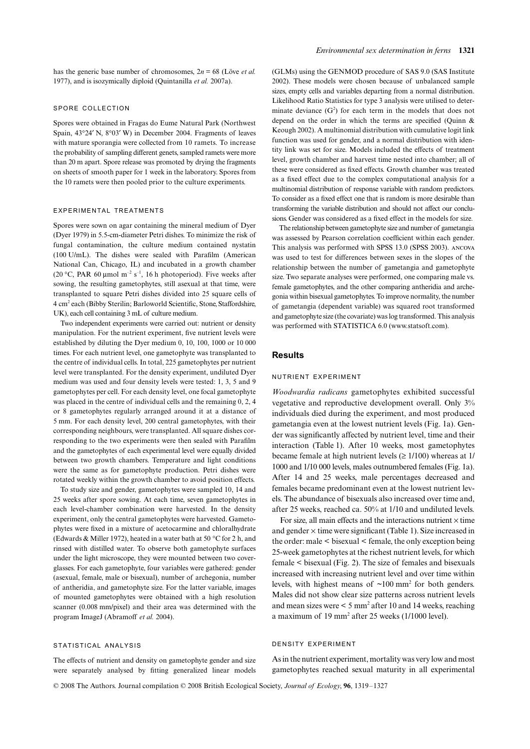has the generic base number of chromosomes, 2*n* = 68 (Löve *et al.* 1977), and is isozymically diploid (Quintanilla *et al.* 2007a).

#### SPORE COLLECTION

Spores were obtained in Fragas do Eume Natural Park (Northwest Spain, 43°24′ N, 8°03′ W) in December 2004. Fragments of leaves with mature sporangia were collected from 10 ramets. To increase the probability of sampling different genets, sampled ramets were more than 20 m apart. Spore release was promoted by drying the fragments on sheets of smooth paper for 1 week in the laboratory. Spores from the 10 ramets were then pooled prior to the culture experiments.

#### EXPERIMENTAL TREATMENTS

Spores were sown on agar containing the mineral medium of Dyer (Dyer 1979) in 5.5-cm-diameter Petri dishes. To minimize the risk of fungal contamination, the culture medium contained nystatin (100 U/mL). The dishes were sealed with Parafilm (American National Can, Chicago, IL) and incubated in a growth chamber (20 °C, PAR 60 µmol m<sup>-2</sup> s<sup>-1</sup>, 16 h photoperiod). Five weeks after sowing, the resulting gametophytes, still asexual at that time, were transplanted to square Petri dishes divided into 25 square cells of 4 cm2 each (Bibby Sterilin; Barloworld Scientific, Stone, Staffordshire, UK), each cell containing 3 mL of culture medium.

Two independent experiments were carried out: nutrient or density manipulation. For the nutrient experiment, five nutrient levels were established by diluting the Dyer medium 0, 10, 100, 1000 or 10 000 times. For each nutrient level, one gametophyte was transplanted to the centre of individual cells. In total, 225 gametophytes per nutrient level were transplanted. For the density experiment, undiluted Dyer medium was used and four density levels were tested: 1, 3, 5 and 9 gametophytes per cell. For each density level, one focal gametophyte was placed in the centre of individual cells and the remaining 0, 2, 4 or 8 gametophytes regularly arranged around it at a distance of 5 mm. For each density level, 200 central gametophytes, with their corresponding neighbours, were transplanted. All square dishes corresponding to the two experiments were then sealed with Parafilm and the gametophytes of each experimental level were equally divided between two growth chambers. Temperature and light conditions were the same as for gametophyte production. Petri dishes were rotated weekly within the growth chamber to avoid position effects.

To study size and gender, gametophytes were sampled 10, 14 and 25 weeks after spore sowing. At each time, seven gametophytes in each level-chamber combination were harvested. In the density experiment, only the central gametophytes were harvested. Gametophytes were fixed in a mixture of acetocarmine and chloralhydrate (Edwards & Miller 1972), heated in a water bath at 50 °C for 2 h, and rinsed with distilled water. To observe both gametophyte surfaces under the light microscope, they were mounted between two coverglasses. For each gametophyte, four variables were gathered: gender (asexual, female, male or bisexual), number of archegonia, number of antheridia, and gametophyte size. For the latter variable, images of mounted gametophytes were obtained with a high resolution scanner (0.008 mm/pixel) and their area was determined with the program ImageJ (Abramoff *et al.* 2004).

(GLMs) using the GENMOD procedure of SAS 9.0 (SAS Institute 2002). These models were chosen because of unbalanced sample sizes, empty cells and variables departing from a normal distribution. Likelihood Ratio Statistics for type 3 analysis were utilised to determinate deviance  $(G<sup>2</sup>)$  for each term in the models that does not depend on the order in which the terms are specified (Quinn & Keough 2002). A multinomial distribution with cumulative logit link function was used for gender, and a normal distribution with identity link was set for size. Models included the effects of treatment level, growth chamber and harvest time nested into chamber; all of these were considered as fixed effects. Growth chamber was treated as a fixed effect due to the complex computational analysis for a multinomial distribution of response variable with random predictors. To consider as a fixed effect one that is random is more desirable than transforming the variable distribution and should not affect our conclusions. Gender was considered as a fixed effect in the models for size.

The relationship between gametophyte size and number of gametangia was assessed by Pearson correlation coefficient within each gender. This analysis was performed with SPSS 13.0 (SPSS 2003). ancova was used to test for differences between sexes in the slopes of the relationship between the number of gametangia and gametophyte size. Two separate analyses were performed, one comparing male vs. female gametophytes, and the other comparing antheridia and archegonia within bisexual gametophytes. To improve normality, the number of gametangia (dependent variable) was squared root transformed and gametophyte size (the covariate) was log transformed. This analysis was performed with STATISTICA 6.0 (www.statsoft.com).

## **Results**

#### NUTRIENT EXPERIMENT

*Woodwardia radicans* gametophytes exhibited successful vegetative and reproductive development overall. Only 3% individuals died during the experiment, and most produced gametangia even at the lowest nutrient levels (Fig. 1a). Gender was significantly affected by nutrient level, time and their interaction (Table 1). After 10 weeks, most gametophytes became female at high nutrient levels  $(≥ 1/100)$  whereas at 1/ 1000 and 1/10 000 levels, males outnumbered females (Fig. 1a). After 14 and 25 weeks, male percentages decreased and females became predominant even at the lowest nutrient levels. The abundance of bisexuals also increased over time and, after 25 weeks, reached ca. 50% at 1/10 and undiluted levels.

For size, all main effects and the interactions nutrient  $\times$  time and gender  $\times$  time were significant (Table 1). Size increased in the order: male < bisexual < female, the only exception being 25-week gametophytes at the richest nutrient levels, for which female < bisexual (Fig. 2). The size of females and bisexuals increased with increasing nutrient level and over time within levels, with highest means of  $\sim 100 \text{ mm}^2$  for both genders. Males did not show clear size patterns across nutrient levels and mean sizes were  $\leq 5$  mm<sup>2</sup> after 10 and 14 weeks, reaching a maximum of 19 mm<sup>2</sup> after 25 weeks (1/1000 level).

#### STATISTICAL ANALYSIS

The effects of nutrient and density on gametophyte gender and size were separately analysed by fitting generalized linear models

#### DENSITY EXPERIMENT

As in the nutrient experiment, mortality was very low and most gametophytes reached sexual maturity in all experimental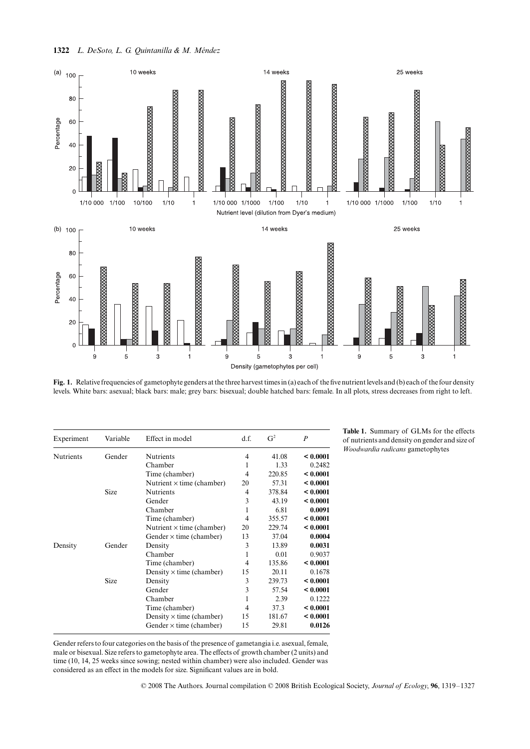



**Fig. 1.** Relative frequencies of gametophyte genders at the three harvest times in (a) each of the five nutrient levels and (b) each of the four density levels. White bars: asexual; black bars: male; grey bars: bisexual; double hatched bars: female. In all plots, stress decreases from right to left.

| Experiment | Variable    | Effect in model                  | d.f.           | $\mathbf{G}^2$ | $\boldsymbol{P}$ |
|------------|-------------|----------------------------------|----------------|----------------|------------------|
| Nutrients  | Gender      | Nutrients                        | $\overline{4}$ | 41.08          | < 0.0001         |
|            |             | Chamber                          | 1              | 1.33           | 0.2482           |
|            |             | Time (chamber)                   | $\overline{4}$ | 220.85         | < 0.0001         |
|            |             | Nutrient $\times$ time (chamber) | 20             | 57.31          | < 0.0001         |
|            | Size        | Nutrients                        | 4              | 378.84         | < 0.0001         |
|            |             | Gender                           | 3              | 43.19          | < 0.0001         |
|            |             | Chamber                          | 1              | 6.81           | 0.0091           |
|            |             | Time (chamber)                   | $\overline{4}$ | 355.57         | < 0.0001         |
|            |             | Nutrient $\times$ time (chamber) | 20             | 229.74         | < 0.0001         |
|            |             | Gender $\times$ time (chamber)   | 13             | 37.04          | 0.0004           |
| Density    | Gender      | Density                          | 3              | 13.89          | 0.0031           |
|            |             | Chamber                          | 1              | 0.01           | 0.9037           |
|            |             | Time (chamber)                   | $\overline{4}$ | 135.86         | < 0.0001         |
|            |             | Density $\times$ time (chamber)  | 15             | 20.11          | 0.1678           |
|            | <b>Size</b> | Density                          | 3              | 239.73         | < 0.0001         |
|            |             | Gender                           | 3              | 57.54          | < 0.0001         |
|            |             | Chamber                          | 1              | 2.39           | 0.1222           |
|            |             | Time (chamber)                   | 4              | 37.3           | < 0.0001         |
|            |             | Density $\times$ time (chamber)  | 15             | 181.67         | < 0.0001         |
|            |             | Gender $\times$ time (chamber)   | 15             | 29.81          | 0.0126           |

**Table 1.** Summary of GLMs for the effects of nutrients and density on gender and size of *Woodwardia radicans* gametophytes

Gender refers to four categories on the basis of the presence of gametangia i.e. asexual, female, male or bisexual. Size refers to gametophyte area. The effects of growth chamber (2 units) and time (10, 14, 25 weeks since sowing; nested within chamber) were also included. Gender was considered as an effect in the models for size. Significant values are in bold.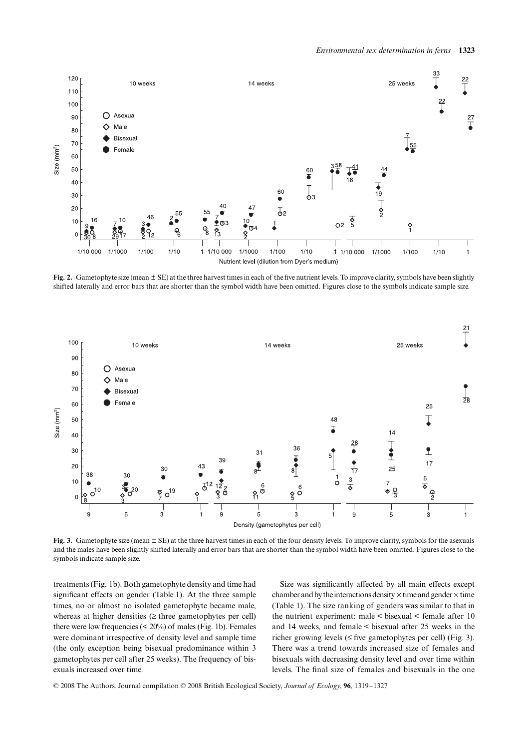

**Fig. 2.** Gametophyte size (mean ± SE) at the three harvest times in each of the five nutrient levels. To improve clarity, symbols have been slightly shifted laterally and error bars that are shorter than the symbol width have been omitted. Figures close to the symbols indicate sample size.



**Fig. 3.** Gametophyte size (mean ± SE) at the three harvest times in each of the four density levels. To improve clarity, symbols for the asexuals and the males have been slightly shifted laterally and error bars that are shorter than the symbol width have been omitted. Figures close to the symbols indicate sample size.

treatments (Fig. 1b). Both gametophyte density and time had significant effects on gender (Table 1). At the three sample times, no or almost no isolated gametophyte became male, whereas at higher densities  $(\geq)$  three gametophytes per cell) there were low frequencies  $( $20\%$ )$  of males (Fig. 1b). Females were dominant irrespective of density level and sample time (the only exception being bisexual predominance within 3 gametophytes per cell after 25 weeks). The frequency of bisexuals increased over time.

Size was significantly affected by all main effects except chamber and by the interactions density  $\times$  time and gender  $\times$  time (Table 1). The size ranking of genders was similar to that in the nutrient experiment: male < bisexual < female after 10 and 14 weeks, and female < bisexual after 25 weeks in the richer growing levels ( $\leq$  five gametophytes per cell) (Fig. 3). There was a trend towards increased size of females and bisexuals with decreasing density level and over time within levels. The final size of females and bisexuals in the one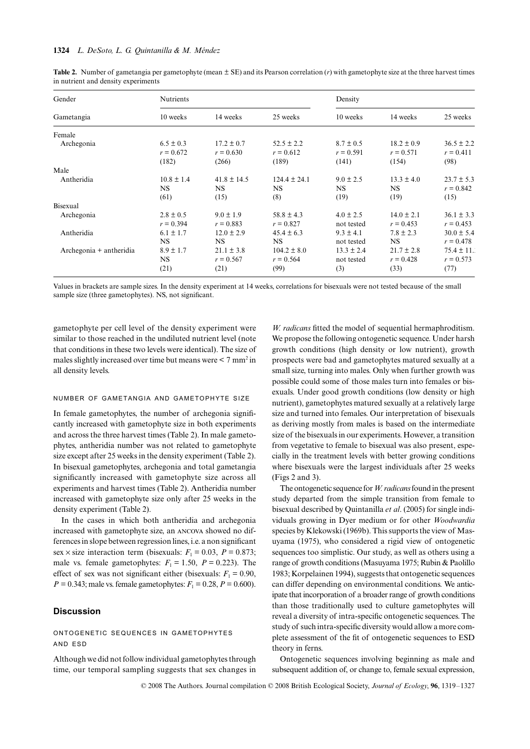| Gender                  | <b>Nutrients</b>                      |                                        |                                        | Density                               |                                        |                                       |
|-------------------------|---------------------------------------|----------------------------------------|----------------------------------------|---------------------------------------|----------------------------------------|---------------------------------------|
| Gametangia              | 10 weeks                              | 14 weeks                               | 25 weeks                               | 10 weeks                              | 14 weeks                               | 25 weeks                              |
| Female                  |                                       |                                        |                                        |                                       |                                        |                                       |
| Archegonia              | $6.5 \pm 0.3$<br>$r = 0.672$<br>(182) | $17.2 \pm 0.7$<br>$r = 0.630$<br>(266) | $52.5 \pm 2.2$<br>$r = 0.612$<br>(189) | $8.7 \pm 0.5$<br>$r = 0.591$<br>(141) | $18.2 \pm 0.9$<br>$r = 0.571$<br>(154) | $36.5 \pm 2.2$<br>$r = 0.411$<br>(98) |
| Male                    |                                       |                                        |                                        |                                       |                                        |                                       |
| Antheridia              | $10.8 \pm 1.4$                        | $41.8 \pm 14.5$                        | $124.4 \pm 24.1$                       | $9.0 \pm 2.5$                         | $13.3 \pm 4.0$                         | $23.7 \pm 5.3$                        |
|                         | <b>NS</b>                             | NS.                                    | NS.                                    | NS.                                   | NS.                                    | $r = 0.842$                           |
|                         | (61)                                  | (15)                                   | (8)                                    | (19)                                  | (19)                                   | (15)                                  |
| Bisexual                |                                       |                                        |                                        |                                       |                                        |                                       |
| Archegonia              | $2.8 \pm 0.5$                         | $9.0 \pm 1.9$                          | $58.8 \pm 4.3$                         | $4.0 \pm 2.5$                         | $14.0 \pm 2.1$                         | $36.1 \pm 3.3$                        |
|                         | $r = 0.394$                           | $r = 0.883$                            | $r = 0.827$                            | not tested                            | $r = 0.453$                            | $r = 0.453$                           |
| Antheridia              | $6.1 \pm 1.7$                         | $12.0 \pm 2.9$                         | $45.4 \pm 6.3$                         | $9.3 \pm 4.1$                         | $7.8 \pm 2.3$                          | $30.0 \pm 5.4$                        |
|                         | <b>NS</b>                             | NS.                                    | <b>NS</b>                              | not tested                            | <b>NS</b>                              | $r = 0.478$                           |
| Archegonia + antheridia | $8.9 \pm 1.7$                         | $21.1 \pm 3.8$                         | $104.2 \pm 8.0$                        | $13.3 \pm 2.4$                        | $21.7 \pm 2.8$                         | $75.4 \pm 11.$                        |
|                         | <b>NS</b>                             | $r = 0.567$                            | $r = 0.564$                            | not tested                            | $r = 0.428$                            | $r = 0.573$                           |
|                         | (21)                                  | (21)                                   | (99)                                   | (3)                                   | (33)                                   | (77)                                  |

**Table 2.** Number of gametangia per gametophyte (mean ± SE) and its Pearson correlation (*r*) with gametophyte size at the three harvest times in nutrient and density experiments

Values in brackets are sample sizes. In the density experiment at 14 weeks, correlations for bisexuals were not tested because of the small sample size (three gametophytes). NS, not significant.

gametophyte per cell level of the density experiment were similar to those reached in the undiluted nutrient level (note that conditions in these two levels were identical). The size of males slightly increased over time but means were  $\leq 7$  mm<sup>2</sup> in all density levels.

#### NUMBER OF GAMETANGIA AND GAMETOPHYTE SIZE

In female gametophytes, the number of archegonia significantly increased with gametophyte size in both experiments and across the three harvest times (Table 2). In male gametophytes, antheridia number was not related to gametophyte size except after 25 weeks in the density experiment (Table 2). In bisexual gametophytes, archegonia and total gametangia significantly increased with gametophyte size across all experiments and harvest times (Table 2). Antheridia number increased with gametophyte size only after 25 weeks in the density experiment (Table 2).

In the cases in which both antheridia and archegonia increased with gametophyte size, an ancova showed no differences in slope between regression lines, i.e. a non significant sex  $\times$  size interaction term (bisexuals:  $F_1 = 0.03$ ,  $P = 0.873$ ; male vs. female gametophytes:  $F_1 = 1.50$ ,  $P = 0.223$ ). The effect of sex was not significant either (bisexuals:  $F_1 = 0.90$ ,  $P = 0.343$ ; male vs. female gametophytes:  $F_1 = 0.28$ ,  $P = 0.600$ ).

# **Discussion**

# ONTOGENETIC SEQUENCES IN GAMETOPHYTES AND ESD

Although we did not follow individual gametophytes through time, our temporal sampling suggests that sex changes in *W. radicans* fitted the model of sequential hermaphroditism. We propose the following ontogenetic sequence. Under harsh growth conditions (high density or low nutrient), growth prospects were bad and gametophytes matured sexually at a small size, turning into males. Only when further growth was possible could some of those males turn into females or bisexuals. Under good growth conditions (low density or high nutrient), gametophytes matured sexually at a relatively large size and turned into females. Our interpretation of bisexuals as deriving mostly from males is based on the intermediate size of the bisexuals in our experiments. However, a transition from vegetative to female to bisexual was also present, especially in the treatment levels with better growing conditions where bisexuals were the largest individuals after 25 weeks (Figs 2 and 3).

The ontogenetic sequence for *W. radicans* found in the present study departed from the simple transition from female to bisexual described by Quintanilla *et al*. (2005) for single individuals growing in Dyer medium or for other *Woodwardia* species by Klekowski (1969b). This supports the view of Masuyama (1975), who considered a rigid view of ontogenetic sequences too simplistic. Our study, as well as others using a range of growth conditions (Masuyama 1975; Rubin & Paolillo 1983; Korpelainen 1994), suggests that ontogenetic sequences can differ depending on environmental conditions. We anticipate that incorporation of a broader range of growth conditions than those traditionally used to culture gametophytes will reveal a diversity of intra-specific ontogenetic sequences. The study of such intra-specific diversity would allow a more complete assessment of the fit of ontogenetic sequences to ESD theory in ferns.

Ontogenetic sequences involving beginning as male and subsequent addition of, or change to, female sexual expression,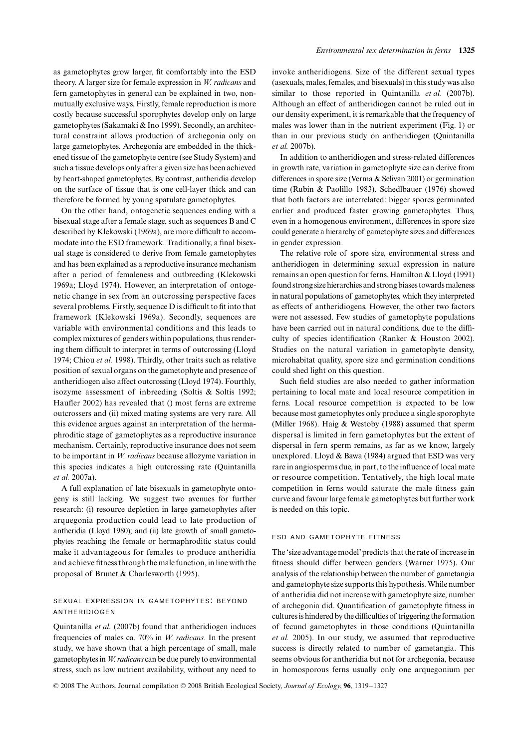as gametophytes grow larger, fit comfortably into the ESD theory. A larger size for female expression in *W. radicans* and fern gametophytes in general can be explained in two, nonmutually exclusive ways. Firstly, female reproduction is more costly because successful sporophytes develop only on large gametophytes (Sakamaki & Ino 1999). Secondly, an architectural constraint allows production of archegonia only on large gametophytes. Archegonia are embedded in the thickened tissue of the gametophyte centre (see Study System) and such a tissue develops only after a given size has been achieved by heart-shaped gametophytes. By contrast, antheridia develop on the surface of tissue that is one cell-layer thick and can therefore be formed by young spatulate gametophytes.

On the other hand, ontogenetic sequences ending with a bisexual stage after a female stage, such as sequences B and C described by Klekowski (1969a), are more difficult to accommodate into the ESD framework. Traditionally, a final bisexual stage is considered to derive from female gametophytes and has been explained as a reproductive insurance mechanism after a period of femaleness and outbreeding (Klekowski 1969a; Lloyd 1974). However, an interpretation of ontogenetic change in sex from an outcrossing perspective faces several problems. Firstly, sequence D is difficult to fit into that framework (Klekowski 1969a). Secondly, sequences are variable with environmental conditions and this leads to complex mixtures of genders within populations, thus rendering them difficult to interpret in terms of outcrossing (Lloyd 1974; Chiou *et al.* 1998). Thirdly, other traits such as relative position of sexual organs on the gametophyte and presence of antheridiogen also affect outcrossing (Lloyd 1974). Fourthly, isozyme assessment of inbreeding (Soltis & Soltis 1992; Haufler 2002) has revealed that () most ferns are extreme outcrossers and (ii) mixed mating systems are very rare. All this evidence argues against an interpretation of the hermaphroditic stage of gametophytes as a reproductive insurance mechanism. Certainly, reproductive insurance does not seem to be important in *W. radicans* because allozyme variation in this species indicates a high outcrossing rate (Quintanilla *et al.* 2007a).

A full explanation of late bisexuals in gametophyte ontogeny is still lacking. We suggest two avenues for further research: (i) resource depletion in large gametophytes after arquegonia production could lead to late production of antheridia (Lloyd 1980); and (ii) late growth of small gametophytes reaching the female or hermaphroditic status could make it advantageous for females to produce antheridia and achieve fitness through the male function, in line with the proposal of Brunet & Charlesworth (1995).

# SEXUAL EXPRESSION IN GAMETOPHYTES: BEYOND ANTHERIDIOGEN

Quintanilla *et al.* (2007b) found that antheridiogen induces frequencies of males ca. 70% in *W. radicans*. In the present study, we have shown that a high percentage of small, male gametophytes in *W. radicans* can be due purely to environmental stress, such as low nutrient availability, without any need to

invoke antheridiogens. Size of the different sexual types (asexuals, males, females, and bisexuals) in this study was also similar to those reported in Quintanilla *et al.* (2007b). Although an effect of antheridiogen cannot be ruled out in our density experiment, it is remarkable that the frequency of males was lower than in the nutrient experiment (Fig. 1) or than in our previous study on antheridiogen (Quintanilla *et al.* 2007b).

In addition to antheridiogen and stress-related differences in growth rate, variation in gametophyte size can derive from differences in spore size (Verma & Selivan 2001) or germination time (Rubin & Paolillo 1983). Schedlbauer (1976) showed that both factors are interrelated: bigger spores germinated earlier and produced faster growing gametophytes. Thus, even in a homogenous environment, differences in spore size could generate a hierarchy of gametophyte sizes and differences in gender expression.

The relative role of spore size, environmental stress and antheridiogen in determining sexual expression in nature remains an open question for ferns. Hamilton & Lloyd (1991) found strong size hierarchies and strong biases towards maleness in natural populations of gametophytes, which they interpreted as effects of antheridiogens. However, the other two factors were not assessed. Few studies of gametophyte populations have been carried out in natural conditions, due to the difficulty of species identification (Ranker & Houston 2002). Studies on the natural variation in gametophyte density, microhabitat quality, spore size and germination conditions could shed light on this question.

Such field studies are also needed to gather information pertaining to local mate and local resource competition in ferns. Local resource competition is expected to be low because most gametophytes only produce a single sporophyte (Miller 1968). Haig & Westoby (1988) assumed that sperm dispersal is limited in fern gametophytes but the extent of dispersal in fern sperm remains, as far as we know, largely unexplored. Lloyd & Bawa (1984) argued that ESD was very rare in angiosperms due, in part, to the influence of local mate or resource competition. Tentatively, the high local mate competition in ferns would saturate the male fitness gain curve and favour large female gametophytes but further work is needed on this topic.

# ESD AND GAMETOPHYTE FITNESS

The 'size advantage model' predicts that the rate of increase in fitness should differ between genders (Warner 1975). Our analysis of the relationship between the number of gametangia and gametophyte size supports this hypothesis. While number of antheridia did not increase with gametophyte size, number of archegonia did. Quantification of gametophyte fitness in cultures is hindered by the difficulties of triggering the formation of fecund gametophytes in those conditions (Quintanilla *et al.* 2005). In our study, we assumed that reproductive success is directly related to number of gametangia. This seems obvious for antheridia but not for archegonia, because in homosporous ferns usually only one arquegonium per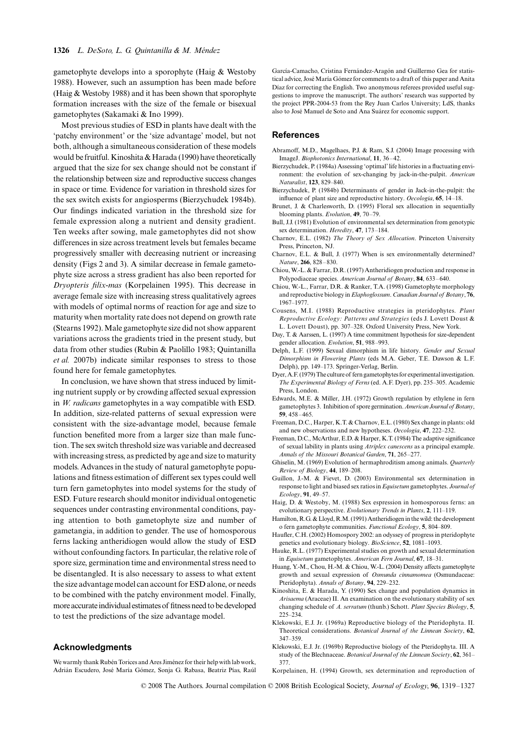gametophyte develops into a sporophyte (Haig & Westoby 1988). However, such an assumption has been made before (Haig & Westoby 1988) and it has been shown that sporophyte formation increases with the size of the female or bisexual gametophytes (Sakamaki & Ino 1999).

Most previous studies of ESD in plants have dealt with the 'patchy environment' or the 'size advantage' model, but not both, although a simultaneous consideration of these models would be fruitful. Kinoshita & Harada (1990) have theoretically argued that the size for sex change should not be constant if the relationship between size and reproductive success changes in space or time. Evidence for variation in threshold sizes for the sex switch exists for angiosperms (Bierzychudek 1984b). Our findings indicated variation in the threshold size for female expression along a nutrient and density gradient. Ten weeks after sowing, male gametophytes did not show differences in size across treatment levels but females became progressively smaller with decreasing nutrient or increasing density (Figs 2 and 3). A similar decrease in female gametophyte size across a stress gradient has also been reported for *Dryopteris filix-mas* (Korpelainen 1995). This decrease in average female size with increasing stress qualitatively agrees with models of optimal norms of reaction for age and size to maturity when mortality rate does not depend on growth rate (Stearns 1992). Male gametophyte size did not show apparent variations across the gradients tried in the present study, but data from other studies (Rubin & Paolillo 1983; Quintanilla *et al.* 2007b) indicate similar responses to stress to those found here for female gametophytes.

In conclusion, we have shown that stress induced by limiting nutrient supply or by crowding affected sexual expression in *W. radicans* gametophytes in a way compatible with ESD. In addition, size-related patterns of sexual expression were consistent with the size-advantage model, because female function benefited more from a larger size than male function. The sex switch threshold size was variable and decreased with increasing stress, as predicted by age and size to maturity models. Advances in the study of natural gametophyte populations and fitness estimation of different sex types could well turn fern gametophytes into model systems for the study of ESD. Future research should monitor individual ontogenetic sequences under contrasting environmental conditions, paying attention to both gametophyte size and number of gametangia, in addition to gender. The use of homosporous ferns lacking antheridiogen would allow the study of ESD without confounding factors. In particular, the relative role of spore size, germination time and environmental stress need to be disentangled. It is also necessary to assess to what extent the size advantage model can account for ESD alone, or needs to be combined with the patchy environment model. Finally, more accurate individual estimates of fitness need to be developed to test the predictions of the size advantage model.

## **Acknowledgments**

We warmly thank Rubén Torices and Ares Jiménez for their help with lab work, Adrián Escudero, José María Gómez, Sonja G. Rabasa, Beatriz Pías, Raúl García-Camacho, Cristina Fernández-Aragón and Guillermo Gea for statistical advice, José María Gómez for comments to a draft of this paper and Anita Díaz for correcting the English. Two anonymous referees provided useful suggestions to improve the manuscript. The authors' research was supported by the project PPR-2004-53 from the Rey Juan Carlos University; LdS, thanks also to José Manuel de Soto and Ana Suárez for economic support.

#### **References**

- Abramoff, M.D., Magelhaes, P.J. & Ram, S.J. (2004) Image processing with ImageJ. *Biophotonics International*, **11**, 36–42.
- Bierzychudek, P. (1984a) Assessing 'optimal' life histories in a fluctuating environment: the evolution of sex-changing by jack-in-the-pulpit. *American Naturalist*, **123**, 829–840.
- Bierzychudek, P. (1984b) Determinants of gender in Jack-in-the-pulpit: the influence of plant size and reproductive history. *Oecologia*, **65**, 14–18.
- Brunet, J. & Charlesworth, D. (1995) Floral sex allocation in sequentially blooming plants. *Evolution*, **49**, 70–79.
- Bull, J.J. (1981) Evolution of environmental sex determination from genotypic sex determination. *Heredity*, **47**, 173–184.
- Charnov, E.L. (1982) *The Theory of Sex Allocation*. Princeton University Press, Princeton, NJ.
- Charnov, E.L. & Bull, J. (1977) When is sex environmentally determined? *Nature*, **266**, 828–830.
- Chiou, W.-L. & Farrar, D.R. (1997) Antheridiogen production and response in Polypodiaceae species. *American Journal of Botany*, **84**, 633–640.
- Chiou, W.-L., Farrar, D.R. & Ranker, T.A. (1998) Gametophyte morphology and reproductive biology in *Elaphoglossum*. *Canadian Journal of Botany*, **76**, 1967–1977.
- Cousens, M.I. (1988) Reproductive strategies in pteridophytes. *Plant Reproductive Ecology: Patterns and Strategies* (eds J. Lovett Doust & L. Lovett Doust), pp. 307–328. Oxford University Press, New York.
- Day, T. & Aarssen, L. (1997) A time commitment hypothesis for size-dependent gender allocation. *Evolution*, **51**, 988–993.
- Delph, L.F. (1999) Sexual dimorphism in life history. *Gender and Sexual Dimorphism in Flowering Plants* (eds M.A. Geber, T.E. Dawson & L.F. Delph), pp. 149–173. Springer-Verlag, Berlin.
- Dyer, A.F. (1979) The culture of fern gametophytes for experimental investigation. *The Experimental Biology of Ferns* (ed. A.F. Dyer), pp. 235–305. Academic Press, London.
- Edwards, M.E. & Miller, J.H. (1972) Growth regulation by ethylene in fern gametophytes 3. Inhibition of spore germination. *American Journal of Botany*, **59**, 458–465.
- Freeman, D.C., Harper, K.T. & Charnov, E.L. (1980) Sex change in plants: old and new observations and new hypotheses. *Oecologia*, **47**, 222–232.
- Freeman, D.C., McArthur, E.D. & Harper, K.T. (1984) The adaptive significance of sexual lability in plants using *Atriplex canescens* as a principal example. *Annals of the Missouri Botanical Garden*, **71**, 265–277.
- Ghiselin, M. (1969) Evolution of hermaphroditism among animals. *Quarterly Review of Biology*, **44**, 189–208.
- Guillon, J.-M. & Fievet, D. (2003) Environmental sex determination in response to light and biased sex ratios in *Equisetum* gametophytes. *Journal of Ecology*, **91**, 49–57.
- Haig, D. & Westoby, M. (1988) Sex espression in homosporous ferns: an evolutionary perspective. *Evolutionary Trends in Plants*, **2**, 111–119.
- Hamilton, R.G. & Lloyd, R.M. (1991) Antheridiogen in the wild: the development o fern gametophyte communities. *Functional Ecology*, **5**, 804–809.
- Haufler, C.H. (2002) Homospory 2002: an odyssey of progress in pteridophyte genetics and evolutionary biology. *BioScience*, **52**, 1081–1093.
- Hauke, R.L. (1977) Experimental studies on growth and sexual determination in *Equisetum* gametophytes. *American Fern Journal*, **67**, 18–31.
- Huang, Y.-M., Chou, H.-M. & Chiou, W.-L. (2004) Density affects gametophyte growth and sexual expression of *Osmunda cinnamomea* (Osmundaceae: Pteridophyta). *Annals of Botany*, **94**, 229–232.
- Kinoshita, E. & Harada, Y. (1990) Sex change and population dynamics in *Arisaema* (Araceae) II. An examination on the evolutionary stability of sex changing schedule of *A. serratum* (thunb.) Schott. *Plant Species Biology*, **5**, 225–234.
- Klekowski, E.J. Jr. (1969a) Reproductive biology of the Pteridophyta. II. Theoretical considerations. *Botanical Journal of the Linnean Society*, **62**, 347–359.
- Klekowski, E.J. Jr. (1969b) Reproductive biology of the Pteridophyta. III. A study of the Blechnaceae. *Botanical Journal of the Linnean Society*, **62**, 361– 377.

Korpelainen, H. (1994) Growth, sex determination and reproduction of